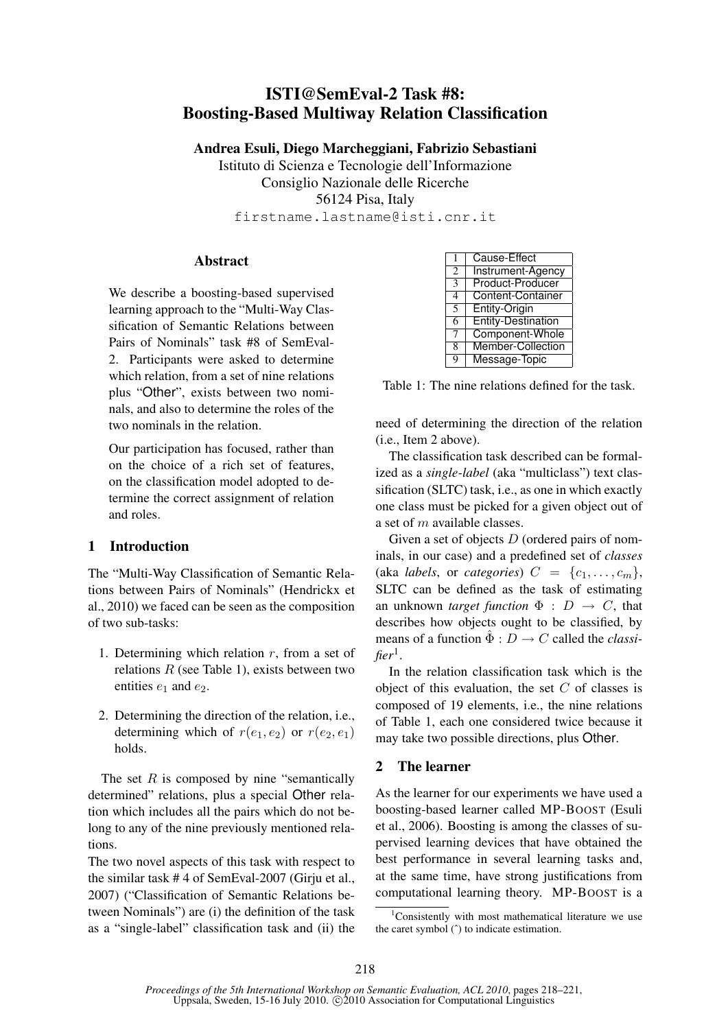# ISTI@SemEval-2 Task #8: Boosting-Based Multiway Relation Classification

Andrea Esuli, Diego Marcheggiani, Fabrizio Sebastiani

Istituto di Scienza e Tecnologie dell'Informazione Consiglio Nazionale delle Ricerche 56124 Pisa, Italy firstname.lastname@isti.cnr.it

### Abstract

We describe a boosting-based supervised learning approach to the "Multi-Way Classification of Semantic Relations between Pairs of Nominals" task #8 of SemEval-2. Participants were asked to determine which relation, from a set of nine relations plus "Other", exists between two nominals, and also to determine the roles of the two nominals in the relation.

Our participation has focused, rather than on the choice of a rich set of features, on the classification model adopted to determine the correct assignment of relation and roles.

## 1 Introduction

The "Multi-Way Classification of Semantic Relations between Pairs of Nominals" (Hendrickx et al., 2010) we faced can be seen as the composition of two sub-tasks:

- 1. Determining which relation  $r$ , from a set of relations  $R$  (see Table 1), exists between two entities  $e_1$  and  $e_2$ .
- 2. Determining the direction of the relation, i.e., determining which of  $r(e_1, e_2)$  or  $r(e_2, e_1)$ holds.

The set  $R$  is composed by nine "semantically" determined" relations, plus a special Other relation which includes all the pairs which do not belong to any of the nine previously mentioned relations.

The two novel aspects of this task with respect to the similar task # 4 of SemEval-2007 (Girju et al., 2007) ("Classification of Semantic Relations between Nominals") are (i) the definition of the task as a "single-label" classification task and (ii) the

| 1              | Cause-Effect              |
|----------------|---------------------------|
| $\overline{c}$ | Instrument-Agency         |
| 3              | Product-Producer          |
| 4              | <b>Content-Container</b>  |
| 5              | <b>Entity-Origin</b>      |
| 6              | <b>Entity-Destination</b> |
| 7              | Component-Whole           |
| 8              | Member-Collection         |
| 9              | Message-Topic             |

Table 1: The nine relations defined for the task.

need of determining the direction of the relation (i.e., Item 2 above).

The classification task described can be formalized as a *single-label* (aka "multiclass") text classification (SLTC) task, i.e., as one in which exactly one class must be picked for a given object out of a set of m available classes.

Given a set of objects  $D$  (ordered pairs of nominals, in our case) and a predefined set of *classes* (aka *labels*, or *categories*)  $C = \{c_1, \ldots, c_m\},\$ SLTC can be defined as the task of estimating an unknown *target function*  $\Phi : D \to C$ , that describes how objects ought to be classified, by means of a function  $\hat{\Phi}: D \to C$  called the *classifier*<sup>1</sup> .

In the relation classification task which is the object of this evaluation, the set  $C$  of classes is composed of 19 elements, i.e., the nine relations of Table 1, each one considered twice because it may take two possible directions, plus Other.

## 2 The learner

As the learner for our experiments we have used a boosting-based learner called MP-BOOST (Esuli et al., 2006). Boosting is among the classes of supervised learning devices that have obtained the best performance in several learning tasks and, at the same time, have strong justifications from computational learning theory. MP-BOOST is a

 $1$ Consistently with most mathematical literature we use the caret symbol ( $\hat{ }$ ) to indicate estimation.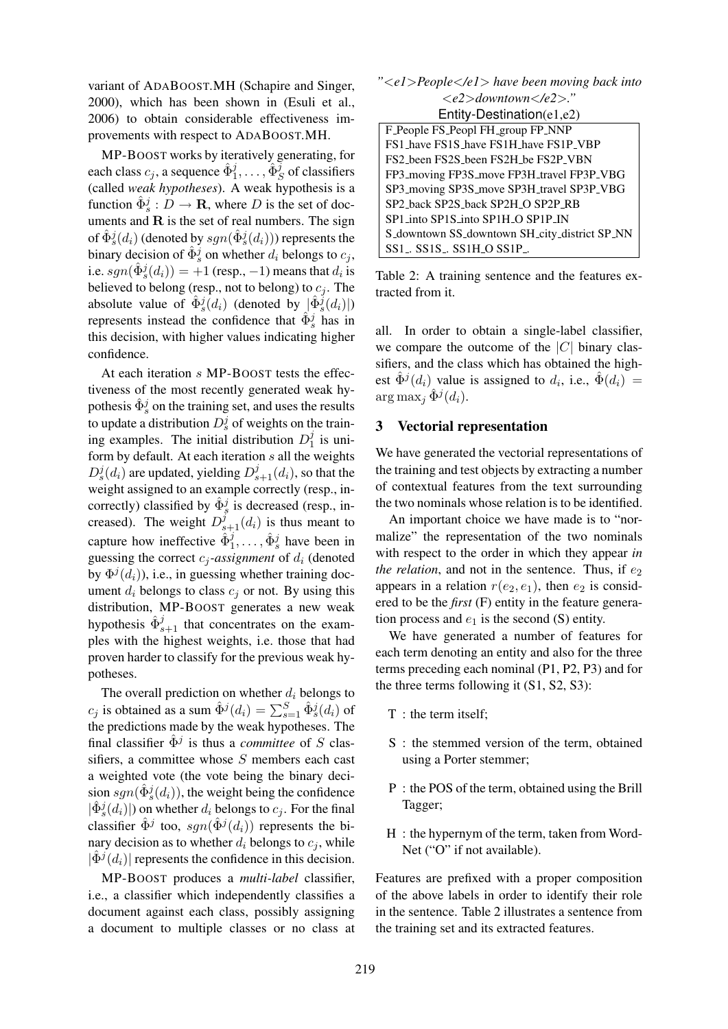variant of ADABOOST.MH (Schapire and Singer, 2000), which has been shown in (Esuli et al., 2006) to obtain considerable effectiveness improvements with respect to ADABOOST.MH.

MP-BOOST works by iteratively generating, for each class  $c_j$ , a sequence  $\hat{\Phi}_1^j, \dots, \hat{\Phi}_S^j$  of classifiers (called *weak hypotheses*). A weak hypothesis is a function  $\hat{\Phi}_s^j : D \to \mathbf{R}$ , where D is the set of documents and  $\bf{R}$  is the set of real numbers. The sign of  $\hat{\Phi}_{s}^{j}(d_{i})$  (denoted by  $sgn(\hat{\Phi}_{s}^{j}(d_{i}))$ ) represents the binary decision of  $\hat{\Phi}_s^j$  on whether  $d_i$  belongs to  $c_j$ , i.e.  $sgn(\hat{\Phi}_s^j(d_i)) = +1$  (resp., -1) means that  $d_i$  is believed to belong (resp., not to belong) to  $c_i$ . The absolute value of  $\hat{\Phi}_{s}^{j}$  $(d_i)$  (denoted by  $|\hat{\Phi}_{s}^{j}$  $(d_i)|$ ) represents instead the confidence that  $\hat{\Phi}_{s}^{j}$  has in this decision, with higher values indicating higher confidence.

At each iteration s MP-BOOST tests the effectiveness of the most recently generated weak hypothesis  $\hat{\Phi}_s^j$  on the training set, and uses the results to update a distribution  $D_s^j$  of weights on the training examples. The initial distribution  $D_1^j$  $\frac{J}{1}$  is uniform by default. At each iteration  $s$  all the weights  $D_s^j(d_i)$  are updated, yielding  $D_{s+1}^j(d_i)$ , so that the weight assigned to an example correctly (resp., incorrectly) classified by  $\hat{\Phi}_{s}^{j}$  is decreased (resp., increased). The weight  $D_{s+1}^j(d_i)$  is thus meant to capture how ineffective  $\hat{\Phi}_1^j, \dots, \hat{\Phi}_s^j$  have been in guessing the correct  $c_i$ -assignment of  $d_i$  (denoted by  $\Phi^{j}(d_i)$ ), i.e., in guessing whether training document  $d_i$  belongs to class  $c_i$  or not. By using this distribution, MP-BOOST generates a new weak hypothesis  $\hat{\Phi}_{s+1}^j$  that concentrates on the examples with the highest weights, i.e. those that had proven harder to classify for the previous weak hypotheses.

The overall prediction on whether  $d_i$  belongs to  $c_j$  is obtained as a sum  $\hat{\Phi}^j(d_i) = \sum_{s=1}^S \hat{\Phi}^j_s(d_i)$  of the predictions made by the weak hypotheses. The final classifier  $\hat{\Phi}^j$  is thus a *committee* of S classifiers, a committee whose  $S$  members each cast a weighted vote (the vote being the binary decision  $sgn(\hat{\Phi}_s^j(d_i))$ , the weight being the confidence  $|\hat{\Phi}_{s}^{j}(d_{i})|)$  on whether  $d_{i}$  belongs to  $c_{j}$ . For the final classifier  $\hat{\Phi}^j$  too,  $sgn(\hat{\Phi}^j(d_i))$  represents the binary decision as to whether  $d_i$  belongs to  $c_i$ , while  $|\hat{\Phi}^{j}(d_{i})|$  represents the confidence in this decision.

MP-BOOST produces a *multi-label* classifier, i.e., a classifier which independently classifies a document against each class, possibly assigning a document to multiple classes or no class at

| " <e1>People</e1> have been moving back into        |  |  |  |  |  |
|-----------------------------------------------------|--|--|--|--|--|
| $\langle e2\rangle$ downtown $\langle e2\rangle$ ." |  |  |  |  |  |
| Entity-Destination( $e1,e2$ )                       |  |  |  |  |  |
| F_People FS_Peopl FH_group FP_NNP                   |  |  |  |  |  |
| FS1_have FS1S_have FS1H_have FS1P_VBP               |  |  |  |  |  |
| FS2 been FS2S been FS2H be FS2P VBN                 |  |  |  |  |  |
| FP3_moving FP3S_move FP3H_travel FP3P_VBG           |  |  |  |  |  |
| SP3_moving SP3S_move SP3H_travel SP3P_VBG           |  |  |  |  |  |
| SP2_back SP2S_back SP2H_O SP2P_RB                   |  |  |  |  |  |
| SP1_into SP1S_into SP1H_O SP1P_IN                   |  |  |  |  |  |
| S_downtown SS_downtown SH_city_district SP_NN       |  |  |  |  |  |
| $SS1$ . $SS1S$ . $SS1H$ $OS1P$ .                    |  |  |  |  |  |

Table 2: A training sentence and the features extracted from it.

all. In order to obtain a single-label classifier, we compare the outcome of the  $|C|$  binary classifiers, and the class which has obtained the highest  $\hat{\Phi}^{j}(d_{i})$  value is assigned to  $d_{i}$ , i.e.,  $\hat{\Phi}(d_{i}) =$  $\arg \max_j \hat{\Phi}^j(d_i)$ .

#### 3 Vectorial representation

We have generated the vectorial representations of the training and test objects by extracting a number of contextual features from the text surrounding the two nominals whose relation is to be identified.

An important choice we have made is to "normalize" the representation of the two nominals with respect to the order in which they appear *in the relation*, and not in the sentence. Thus, if  $e_2$ appears in a relation  $r(e_2, e_1)$ , then  $e_2$  is considered to be the *first* (F) entity in the feature generation process and  $e_1$  is the second (S) entity.

We have generated a number of features for each term denoting an entity and also for the three terms preceding each nominal (P1, P2, P3) and for the three terms following it (S1, S2, S3):

- T : the term itself;
- S : the stemmed version of the term, obtained using a Porter stemmer;
- P : the POS of the term, obtained using the Brill Tagger;
- H : the hypernym of the term, taken from Word-Net ("O" if not available).

Features are prefixed with a proper composition of the above labels in order to identify their role in the sentence. Table 2 illustrates a sentence from the training set and its extracted features.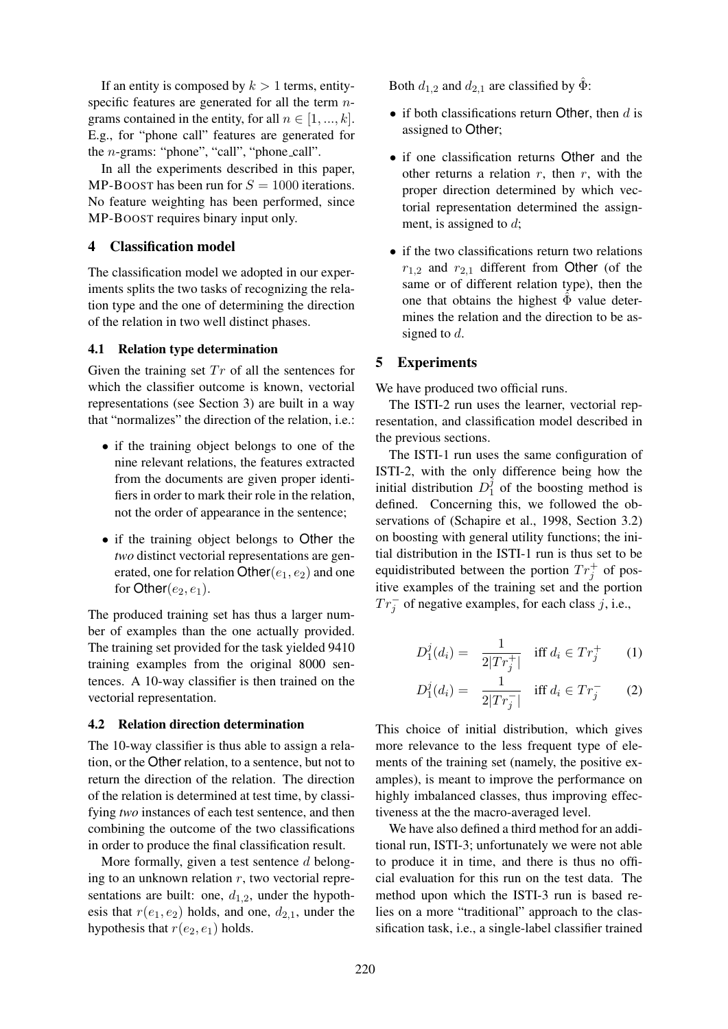If an entity is composed by  $k > 1$  terms, entityspecific features are generated for all the term ngrams contained in the entity, for all  $n \in [1, ..., k]$ . E.g., for "phone call" features are generated for the *n*-grams: "phone", "call", "phone\_call".

In all the experiments described in this paper, MP-BOOST has been run for  $S = 1000$  iterations. No feature weighting has been performed, since MP-BOOST requires binary input only.

#### 4 Classification model

The classification model we adopted in our experiments splits the two tasks of recognizing the relation type and the one of determining the direction of the relation in two well distinct phases.

#### 4.1 Relation type determination

Given the training set  $Tr$  of all the sentences for which the classifier outcome is known, vectorial representations (see Section 3) are built in a way that "normalizes" the direction of the relation, i.e.:

- if the training object belongs to one of the nine relevant relations, the features extracted from the documents are given proper identifiers in order to mark their role in the relation, not the order of appearance in the sentence;
- if the training object belongs to Other the *two* distinct vectorial representations are generated, one for relation  $Other(e_1, e_2)$  and one for Other $(e_2, e_1)$ .

The produced training set has thus a larger number of examples than the one actually provided. The training set provided for the task yielded 9410 training examples from the original 8000 sentences. A 10-way classifier is then trained on the vectorial representation.

#### 4.2 Relation direction determination

The 10-way classifier is thus able to assign a relation, or the Other relation, to a sentence, but not to return the direction of the relation. The direction of the relation is determined at test time, by classifying *two* instances of each test sentence, and then combining the outcome of the two classifications in order to produce the final classification result.

More formally, given a test sentence  $d$  belonging to an unknown relation  $r$ , two vectorial representations are built: one,  $d_{1,2}$ , under the hypothesis that  $r(e_1, e_2)$  holds, and one,  $d_{2,1}$ , under the hypothesis that  $r(e_2, e_1)$  holds.

Both  $d_{1,2}$  and  $d_{2,1}$  are classified by  $\ddot{\Phi}$ :

- if both classifications return Other, then  $d$  is assigned to Other;
- if one classification returns Other and the other returns a relation  $r$ , then  $r$ , with the proper direction determined by which vectorial representation determined the assignment, is assigned to  $d$ ;
- if the two classifications return two relations  $r_{1,2}$  and  $r_{2,1}$  different from Other (of the same or of different relation type), then the one that obtains the highest  $\Phi$  value determines the relation and the direction to be assigned to  $d$ .

#### 5 Experiments

We have produced two official runs.

The ISTI-2 run uses the learner, vectorial representation, and classification model described in the previous sections.

The ISTI-1 run uses the same configuration of ISTI-2, with the only difference being how the initial distribution  $D_1^j$  $\frac{J}{1}$  of the boosting method is defined. Concerning this, we followed the observations of (Schapire et al., 1998, Section 3.2) on boosting with general utility functions; the initial distribution in the ISTI-1 run is thus set to be equidistributed between the portion  $Tr_j^+$  of positive examples of the training set and the portion  $Tr_j^-$  of negative examples, for each class j, i.e.,

$$
D_1^j(d_i) = \frac{1}{2|Tr_j^+|} \quad \text{iff } d_i \in Tr_j^+ \qquad (1)
$$

$$
D_1^j(d_i) = \frac{1}{2|Tr_j^-|} \quad \text{iff } d_i \in Tr_j^- \qquad (2)
$$

This choice of initial distribution, which gives more relevance to the less frequent type of elements of the training set (namely, the positive examples), is meant to improve the performance on highly imbalanced classes, thus improving effectiveness at the the macro-averaged level.

We have also defined a third method for an additional run, ISTI-3; unfortunately we were not able to produce it in time, and there is thus no official evaluation for this run on the test data. The method upon which the ISTI-3 run is based relies on a more "traditional" approach to the classification task, i.e., a single-label classifier trained